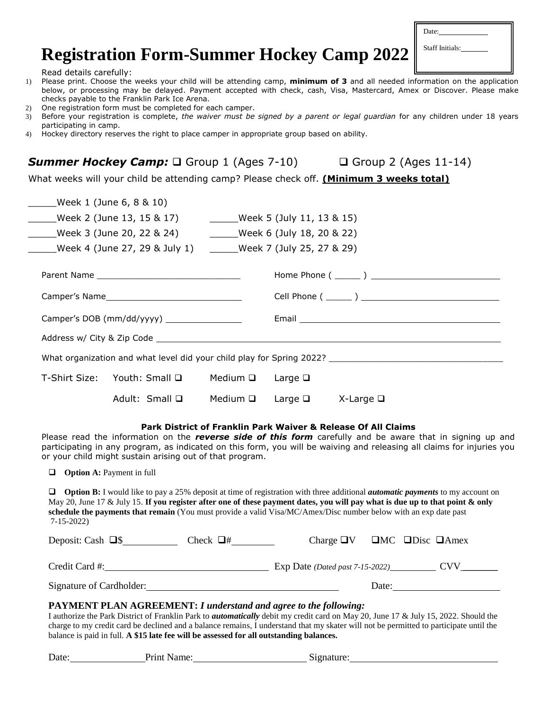# **Registration Form-Summer Hockey Camp 2022**

| Date:           |  |
|-----------------|--|
| Staff Initials: |  |
|                 |  |

Read details carefully:

- 1) Please print. Choose the weeks your child will be attending camp, **minimum of 3** and all needed information on the application below, or processing may be delayed. Payment accepted with check, cash, Visa, Mastercard, Amex or Discover. Please make checks payable to the Franklin Park Ice Arena.
- 2) One registration form must be completed for each camper.
- 3) Before your registration is complete, *the waiver must be signed by a parent or legal guardian* for any children under 18 years participating in camp.
- 4) Hockey directory reserves the right to place camper in appropriate group based on ability.

**Summer Hockey Camp:** □ Group 1 (Ages 7-10) □ Group 2 (Ages 11-14)

What weeks will your child be attending camp? Please check off. **(Minimum 3 weeks total)**

|                                                                                                      | Week 1 (June 6, 8 & 10)                     |                            |  |                                                                                                                |  |  |
|------------------------------------------------------------------------------------------------------|---------------------------------------------|----------------------------|--|----------------------------------------------------------------------------------------------------------------|--|--|
|                                                                                                      |                                             |                            |  |                                                                                                                |  |  |
|                                                                                                      |                                             |                            |  |                                                                                                                |  |  |
| Week 4 (June 27, 29 & July 1) ______Week 7 (July 25, 27 & 29)                                        |                                             |                            |  |                                                                                                                |  |  |
|                                                                                                      |                                             |                            |  |                                                                                                                |  |  |
|                                                                                                      |                                             |                            |  |                                                                                                                |  |  |
|                                                                                                      | Camper's DOB (mm/dd/yyyy) _________________ |                            |  | Email 2008 2009 2010 2021 2022 2023 2024 2022 2023 2024 2022 2023 2024 2022 2023 2024 2022 2023 2024 2022 2023 |  |  |
|                                                                                                      |                                             |                            |  |                                                                                                                |  |  |
| What organization and what level did your child play for Spring 2022? ______________________________ |                                             |                            |  |                                                                                                                |  |  |
|                                                                                                      | T-Shirt Size: Youth: Small □                | Medium $\Box$ Large $\Box$ |  |                                                                                                                |  |  |
|                                                                                                      | Adult: Small $\Box$                         | Medium $\square$           |  | Large $\square$ X-Large $\square$                                                                              |  |  |

### **Park District of Franklin Park Waiver & Release Of All Claims**

Please read the information on the *reverse side of this form* carefully and be aware that in signing up and participating in any program, as indicated on this form, you will be waiving and releasing all claims for injuries you or your child might sustain arising out of that program.

**Option A:** Payment in full

**Option B:** I would like to pay a 25% deposit at time of registration with three additional *automatic payments* to my account on May 20, June 17 & July 15. **If you register after one of these payment dates, you will pay what is due up to that point & only schedule the payments that remain** (You must provide a valid Visa/MC/Amex/Disc number below with an exp date past 7-15-2022)

| Deposit: Cash $\Box$ \$  | Check $\Box$ # | Charge $\Box V$                 |       | $\Box$ MC $\Box$ Disc $\Box$ Amex |
|--------------------------|----------------|---------------------------------|-------|-----------------------------------|
| Credit Card #:           |                | Exp Date (Dated past 7-15-2022) |       | CVV                               |
| Signature of Cardholder: |                |                                 | Date: |                                   |

### **PAYMENT PLAN AGREEMENT:** *I understand and agree to the following:*

I authorize the Park District of Franklin Park to *automatically* debit my credit card on May 20, June 17 & July 15, 2022. Should the charge to my credit card be declined and a balance remains, I understand that my skater will not be permitted to participate until the balance is paid in full. **A \$15 late fee will be assessed for all outstanding balances.**

| Date: | Print Name: | .51gnature: |
|-------|-------------|-------------|
|       |             |             |